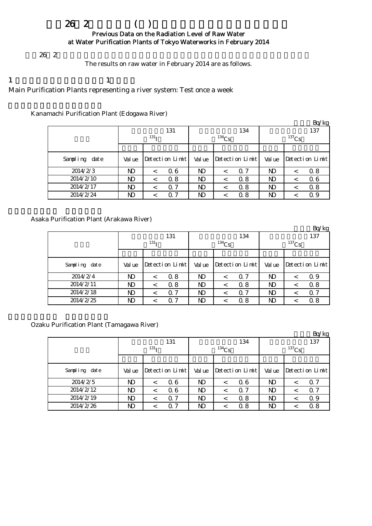# $262$  ( )

#### Previous Data on the Radiation Level of Raw Water at Water Purification Plants of Tokyo Waterworks in February 2014

 $262$ 

The results on raw water in February 2014 are as follows.

1  $\qquad \qquad 1$ Main Purification Plants representing a river system: Test once a week

Kanamachi Purification Plant (Edogawa River)

|               |        |                  |  |        |                 |            |          |                 | Bq/kg |  |
|---------------|--------|------------------|--|--------|-----------------|------------|----------|-----------------|-------|--|
|               |        | 131              |  |        | 134             | 137        |          |                 |       |  |
|               |        | 131 <sub>T</sub> |  |        | $134$ Cs        |            | $137$ Cs |                 |       |  |
|               |        |                  |  |        |                 |            |          |                 |       |  |
| Sampling date | Val ue | Detection Limit  |  | Val ue | Detection Limit |            | Val ue   | Detection Limit |       |  |
| 2014/2/3      | ND     | 0.6              |  | ND     |                 | $\Omega$ 7 | ND       | <               | 0.8   |  |
| 2014/2/10     | ND     | 0.8              |  | ND     |                 | 0.8        | ND       | ≺               | 06    |  |
| 2014/2/17     | ND     | 0.7<br><         |  | ND     |                 | 0.8        | ND       | <               | 0.8   |  |
| 2014/2/24     | ND     | 0.7              |  | ND     |                 | 0.8        | ND       |                 | 0.9   |  |

Asaka Purification Plant (Arakawa River)

|               |        |                  |        |                 |          | Bq/kg                 |  |  |
|---------------|--------|------------------|--------|-----------------|----------|-----------------------|--|--|
|               |        | 131              |        | 134             | 137      |                       |  |  |
|               |        | 131 <sub>T</sub> |        | $134$ Cs        | $137$ Cs |                       |  |  |
|               |        |                  |        |                 |          |                       |  |  |
| Sampling date | Val ue | Detection Limit  | Val ue | Detection Limit | Val ue   | Detection Limit       |  |  |
| 2014/2/4      | ND     | 0.8<br><         | ND     | 0.7             | ND       | 0.9<br><              |  |  |
| 2014/2/11     | ND     | 0.8<br>$\,<\,$   | ND     | Q 8             | N)       | 0.8<br>$\,<\,$        |  |  |
| 2014/2/18     | ND     | 0.7<br>$\,<$     | N)     | $\alpha$ 7      | ND       | $\alpha$ 7<br>$\,<\,$ |  |  |
| 2014/2/25     | ND     | 0.7              | ND     | 0.8             | ND       | 0.8                   |  |  |

Ozaku Purification Plant (Tamagawa River)

|               |                  |         |                 |    |                 |            |                |                 | Bq/kg      |  |  |
|---------------|------------------|---------|-----------------|----|-----------------|------------|----------------|-----------------|------------|--|--|
|               |                  |         | 131             |    |                 | 134        | 137            |                 |            |  |  |
|               | 131 <sub>T</sub> |         |                 |    | $134$ Cs        |            | $137$ Cs       |                 |            |  |  |
|               |                  |         |                 |    |                 |            |                |                 |            |  |  |
| Sampling date | Val ue           |         | Detection Limit |    | Detection Limit |            | Val ue         | Detection Limit |            |  |  |
| 2014/2/5      | ND               | $\,<\,$ | 0.6             | ND |                 | Q 6        | ND             | $\,<\,$         | $\alpha$ 7 |  |  |
| 2014/2/12     | ND               | $\,<\,$ | 0.6             | N) |                 | $\Omega$ 7 | ND             | $\,<\,$         | $\alpha$ 7 |  |  |
| 2014/2/19     | N)               | <       | 0.7             | ND |                 | 0.8        | N <sub>D</sub> | $\,<\,$         | 0.9        |  |  |
| 2014/2/26     | ND               | <       | 0.7             | ND |                 | 0.8        | ND             |                 | 0.8        |  |  |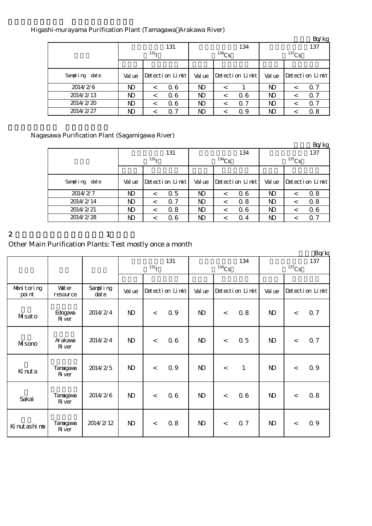#### Higashi-murayama Purification Plant (Tamagawa Arakawa River)

|                  |        |                  |        |                 |          | Bq/kg                 |  |  |  |
|------------------|--------|------------------|--------|-----------------|----------|-----------------------|--|--|--|
|                  |        | 131              |        | 134             |          | 137                   |  |  |  |
|                  |        | 131 <sub>T</sub> |        | $134$ Cs        | $137$ Cs |                       |  |  |  |
|                  |        |                  |        |                 |          |                       |  |  |  |
| Sampling<br>date | Val ue | Detection Limit  | Val ue | Detection Limit | Val ue   | $Detecti$ on $Limit$  |  |  |  |
| 2014/2/6         | ND     | 0.6              | ND     | $\,<\,$         | ND       | 0.7<br>$\,<\,$        |  |  |  |
| 2014/2/13        | ND     | 0.6              | ND     | 06              | ND       | $\alpha$ 7<br><       |  |  |  |
| 2014/2/20        | ND     | 0.6<br>$\,<\,$   | ND     | $\alpha$ 7<br>< | ND       | $\alpha$ 7<br>$\,<\,$ |  |  |  |
| 2014/2/27        | ND     | 0.7              | ND     | Q 9             | ND       | 0.8<br>$\,<\,$        |  |  |  |

### Nagasawa Purification Plant (Sagamigawa River)

|               |        |                  |                |                 |              | Bq/kg           |  |  |
|---------------|--------|------------------|----------------|-----------------|--------------|-----------------|--|--|
|               |        | 131              |                | 134             | 137          |                 |  |  |
|               |        | 131 <sub>T</sub> |                | $^{134}Cs$      | $137$ Cs     |                 |  |  |
|               |        |                  |                |                 |              |                 |  |  |
| Sampling date | Val ue | Detection Limit  | Val ue         | Detection Limit | Val ue       | Detection Limit |  |  |
| 2014/2/7      | ND     | 0.5<br>$\,<\,$   | N <sub>D</sub> | 06              | $\mathbf{D}$ | 0.8<br>$\,<\,$  |  |  |
| 2014/2/14     | ND     | 0.7<br>$\,<\,$   | ND             | 0.8             | ND           | 0.8<br>$\,<\,$  |  |  |
| 2014/2/21     | ND.    | 0.8<br>$\,<\,$   | N)             | Q 6             | ND.          | 06<br>$\,<\,$   |  |  |
| 2014/2/28     | ND     | 06<br>$\,<$      | ND             | $\Omega$ 4      | ND           | $\alpha$ 7      |  |  |

## 2 and  $\lambda$  1

# Other Main Purification Plants: Test mostly once a month

|                      |                           |                   |                           |         |                 |              |          |                 |                 |         | Bq/kg                |
|----------------------|---------------------------|-------------------|---------------------------|---------|-----------------|--------------|----------|-----------------|-----------------|---------|----------------------|
|                      |                           |                   | 131<br>$131$ <sub>I</sub> |         |                 |              | $134$ Cs | 134             | 137<br>$137$ Cs |         |                      |
| Monitoring<br>poi nt | <b>Vater</b><br>resource  | Sampling<br>dat e | Val ue                    |         | Detection Limit | Val ue       |          | Detection Limit | Val ue          |         | $Detecti$ on $Limit$ |
| Masato               | Edogava<br><b>R</b> iver  | 2014/2/4          | $\mathbf{D}$              | $\lt$   | 0.9             | $\mathbf{D}$ | $\lt$    | 0.8             | $\mathbf{N}$    | $\lt$   | 0.7                  |
| MIsono               | Arakawa<br><b>R</b> ver   | 2014/2/4          | $\mathbf{D}$              | $\lt$   | 0.6             | $\mathbf{D}$ | $\lt$    | 0.5             | $\mathbf{N}$    | $\,<$   | 0.7                  |
| Kinuta               | Tanagawa<br><b>R</b> iver | 2014/2/5          | $\mathbf{D}$              | $\,<\,$ | 0.9             | $\mathbf{N}$ | $\lt$    | $\mathbf{1}$    | $\mathbf{N}$    | $\prec$ | 0.9                  |
| Sakai                | Tanagawa<br><b>R</b> iver | 2014/2/6          | $\mathbf{D}$              | $\lt$   | 0.6             | $\mathbf{N}$ | $\lt$    | 06              | $\mathbf{N}$    | $\lt$   | 0.8                  |
| Ki nut ashi no       | Tanagava<br><b>R</b> ver  | 2014/2/12         | $\mathbf{N}$              | $\lt$   | 0.8             | $\mathbf{D}$ | $\lt$    | 0.7             | $\mathbf{N}$    | $\lt$   | 0.9                  |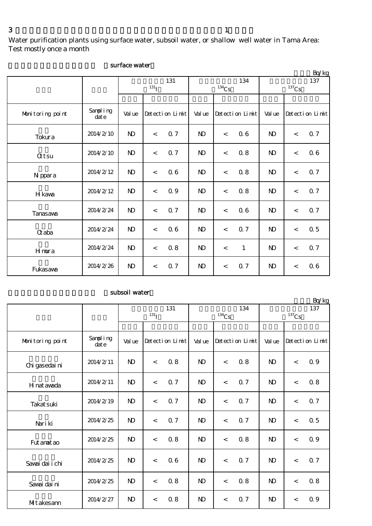Water purification plants using surface water, subsoil water, or shallow well water in Tama Area: Test mostly once a month

|                  |                   |              |                    |                 |                |          |                 |              |                          | Bq/kg           |
|------------------|-------------------|--------------|--------------------|-----------------|----------------|----------|-----------------|--------------|--------------------------|-----------------|
|                  |                   |              |                    | 131             |                |          | 134             |              |                          | 137             |
|                  |                   |              | $131$ <sub>I</sub> |                 |                | $134$ Cs |                 | $137$ Cs     |                          |                 |
|                  |                   |              |                    |                 |                |          |                 |              |                          |                 |
| Monitoring point | Sampling<br>dat e | Val ue       |                    | Detection Limit |                |          | Detection Limit | Val ue       |                          | Detection Limit |
| Tokura           | 2014/2/10         | $\mathbf{N}$ | $\lt$              | 0.7             | $\mathbf{N}$   | $\lt$    | 06              | $\mathbf{N}$ | $\lt$                    | 0.7             |
| <b>Qtsu</b>      | 2014/2/10         | $\mathbf{N}$ | $\lt$              | 0.7             | $\mathbf{N}$   | $\lt$    | 0.8             | $\mathbf{N}$ | $\lt$                    | 06              |
| N ppara          | 2014/2/12         | $\mathbf{N}$ | $\,<$              | 0.6             | N <sub>D</sub> | $\lt$    | 0.8             | $\mathbf{N}$ | $\lt$                    | 0.7             |
| H kawa           | 2014/2/12         | $\mathbf{N}$ | $\,<$              | 0.9             | $\mathbf{D}$   | $\,<$    | 0.8             | $\mathbf{N}$ | $\,<$                    | 0.7             |
| Tanasawa         | 2014/2/24         | $\mathbf{N}$ | $\,<$              | 0.7             | $\mathbf{N}$   | $\lt$    | 06              | $\mathbf{N}$ | $\lt$                    | 0.7             |
| $\alpha$ aba     | 2014/2/24         | $\mathbf{N}$ | $\,<\,$            | 0.6             | $\mathbf{D}$   | $\prec$  | <b>Q</b> 7      | $\mathbf{N}$ | $\prec$                  | $0.5\,$         |
| Hmura            | 2014/2/24         | $\mathbf{D}$ | $\,<$              | 0.8             | $\mathbf{N}$   | $\,<$    | $\mathbf{1}$    | $\mathbf{N}$ | $\overline{\phantom{a}}$ | 0.7             |
| Fukasawa         | 2014/2/26         | $\mathbf{D}$ | $\,<\,$            | 0.7             | $\mathbf{D}$   | $\,<$    | 0.7             | $\mathbf{D}$ | $\lt$                    | 06              |

#### surface water

#### subsoil water

|                  |                   |                    |         |                 |              |          |                 |                     |         | Bq/kg           |
|------------------|-------------------|--------------------|---------|-----------------|--------------|----------|-----------------|---------------------|---------|-----------------|
|                  |                   | 131                |         |                 |              |          | 134             |                     |         | 137             |
|                  |                   | $131$ <sub>I</sub> |         |                 |              | $134$ Cs |                 | $^{137}\mathrm{Cs}$ |         |                 |
|                  |                   |                    |         |                 |              |          |                 |                     |         |                 |
| Monitoring point | Sampling<br>dat e | Val ue             |         | Detection Limit |              |          | Detection Limit | Val ue              |         | Detection Limit |
| Chi gasedai ni   | 2014/2/11         | N <sub>D</sub>     | $\prec$ | 0.8             | $\mathbf{D}$ | $\prec$  | 0.8             | $\mathbf{N}$        | $\prec$ | 0.9             |
| H nat awada      | 2014/2/11         | $\mathbf{N}$       | $\lt$   | 0.7             | $\mathbf{N}$ | $\,<$    | Q 7             | $\mathbf{D}$        | $\,<$   | 0.8             |
| Takat suki       | 2014/2/19         | $\mathbf{D}$       | $\prec$ | 0.7             | $\mathbf{D}$ | $\prec$  | <b>Q</b> 7      | $\mathbf{N}$        | $\prec$ | 0.7             |
| Nari ki          | 2014/2/25         | $\mathbf{N}$       | $\lt$   | 0.7             | $\mathbf{N}$ | $\prec$  | 0.7             | $\mathbf{N}$        | $\prec$ | 0.5             |
| Fut anat ao      | 2014/2/25         | $\mathbf{N}$       | $\lt$   | 0.8             | $\mathbf{N}$ | $\lt$    | 0.8             | $\mathbf{N}$        | $\lt$   | 0.9             |
| Savai dai i chi  | 2014/2/25         | $\mathbf{N}$       | $\,<$   | 0.6             | $\mathbf{N}$ | $\prec$  | Q 7             | $\mathbf{N}$        | $\prec$ | 0.7             |
| Savai dai ni     | 2014/2/25         | N <sub>D</sub>     | $\prec$ | 0.8             | $\mathbf{D}$ | $\lt$    | 0.8             | $\mathbf{N}$        | $\prec$ | 0.8             |
| MItakesann       | 2014/2/27         | $\mathbf{N}$       | $\lt$   | 0.8             | $\mathbf{N}$ | $\lt$    | 0.7             | $\mathbf{D}$        | $\lt$   | 0.9             |